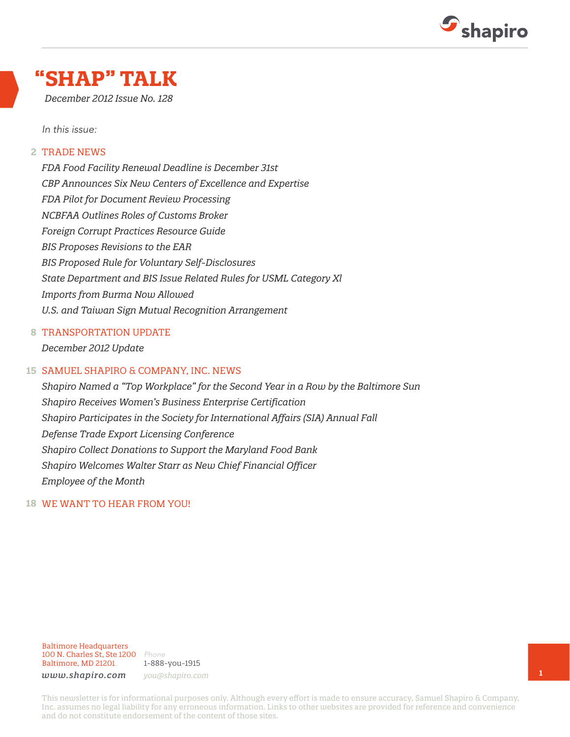

### **"SHAP" TALK**

*December 2012 Issue No. 128*

*In this issue:*

#### TRADE NEWS **2**

*FDA Food Facility Renewal Deadline is December 31st CBP Announces Six New Centers of Excellence and Expertise FDA Pilot for Document Review Processing NCBFAA Outlines Roles of Customs Broker Foreign Corrupt Practices Resource Guide BIS Proposes Revisions to the EAR BIS Proposed Rule for Voluntary Self-Disclosures State Department and BIS Issue Related Rules for USML Category Xl Imports from Burma Now Allowed U.S. and Taiwan Sign Mutual Recognition Arrangement*

#### TRANSPORTATION UPDATE **8**

*December 2012 Update*

#### SAMUEL SHAPIRO & COMPANY, INC. NEWS **15**

*Shapiro Named a "Top Workplace" for the Second Year in a Row by the Baltimore Sun Shapiro Receives Women's Business Enterprise Certification Shapiro Participates in the Society for International Affairs (SIA) Annual Fall Defense Trade Export Licensing Conference Shapiro Collect Donations to Support the Maryland Food Bank Shapiro Welcomes Walter Starr as New Chief Financial Officer Employee of the Month*

#### WE WANT TO HEAR FROM YOU! **18**

Baltimore Headquarters 100 N. Charles St, Ste 1200 *Phone* Baltimore, MD 21201

1-888-you-1915

*www.shapiro.com you@shapiro.com*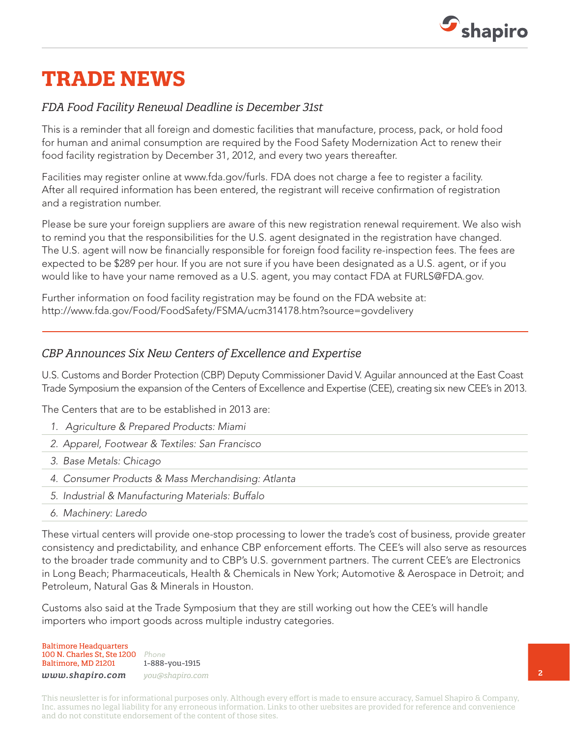

## **TRADE NEWS**

#### *FDA Food Facility Renewal Deadline is December 31st*

This is a reminder that all foreign and domestic facilities that manufacture, process, pack, or hold food for human and animal consumption are required by the Food Safety Modernization Act to renew their food facility registration by December 31, 2012, and every two years thereafter.

Facilities may register online at www.fda.gov/furls. FDA does not charge a fee to register a facility. After all required information has been entered, the registrant will receive confirmation of registration and a registration number.

Please be sure your foreign suppliers are aware of this new registration renewal requirement. We also wish to remind you that the responsibilities for the U.S. agent designated in the registration have changed. The U.S. agent will now be financially responsible for foreign food facility re-inspection fees. The fees are expected to be \$289 per hour. If you are not sure if you have been designated as a U.S. agent, or if you would like to have your name removed as a U.S. agent, you may contact FDA at FURLS@FDA.gov.

Further information on food facility registration may be found on the FDA website at: http://www.fda.gov/Food/FoodSafety/FSMA/ucm314178.htm?source=govdelivery

#### *CBP Announces Six New Centers of Excellence and Expertise*

U.S. Customs and Border Protection (CBP) Deputy Commissioner David V. Aguilar announced at the East Coast Trade Symposium the expansion of the Centers of Excellence and Expertise (CEE), creating six new CEE's in 2013.

The Centers that are to be established in 2013 are:

- *1. Agriculture & Prepared Products: Miami*
- *2. Apparel, Footwear & Textiles: San Francisco*
- *3. Base Metals: Chicago*
- *4. Consumer Products & Mass Merchandising: Atlanta*
- *5. Industrial & Manufacturing Materials: Buffalo*
- *6. Machinery: Laredo*

These virtual centers will provide one-stop processing to lower the trade's cost of business, provide greater consistency and predictability, and enhance CBP enforcement efforts. The CEE's will also serve as resources to the broader trade community and to CBP's U.S. government partners. The current CEE's are Electronics in Long Beach; Pharmaceuticals, Health & Chemicals in New York; Automotive & Aerospace in Detroit; and Petroleum, Natural Gas & Minerals in Houston.

Customs also said at the Trade Symposium that they are still working out how the CEE's will handle importers who import goods across multiple industry categories.

Baltimore Headquarters 100 N. Charles St, Ste 1200 *Phone* Baltimore, MD 21201

1-888-you-1915 *www.shapiro.com you@shapiro.com*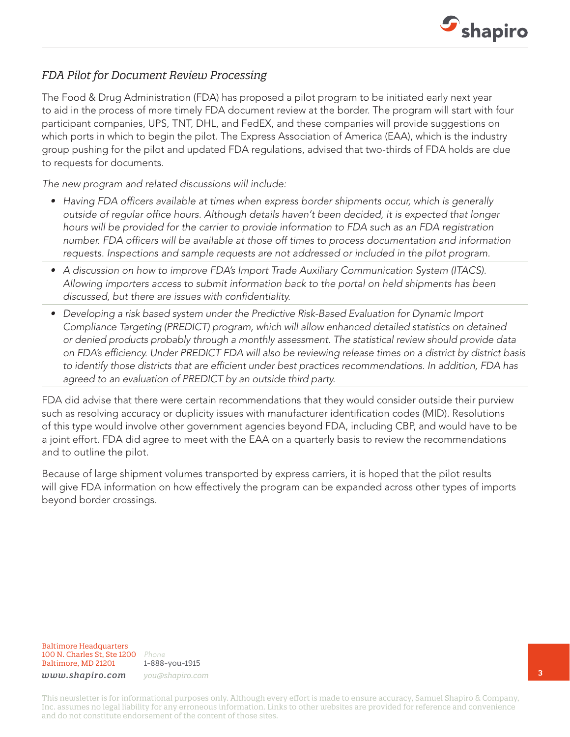

#### *FDA Pilot for Document Review Processing*

The Food & Drug Administration (FDA) has proposed a pilot program to be initiated early next year to aid in the process of more timely FDA document review at the border. The program will start with four participant companies, UPS, TNT, DHL, and FedEX, and these companies will provide suggestions on which ports in which to begin the pilot. The Express Association of America (EAA), which is the industry group pushing for the pilot and updated FDA regulations, advised that two-thirds of FDA holds are due to requests for documents.

*The new program and related discussions will include:*

- *• Having FDA officers available at times when express border shipments occur, which is generally outside of regular office hours. Although details haven't been decided, it is expected that longer hours will be provided for the carrier to provide information to FDA such as an FDA registration number. FDA officers will be available at those off times to process documentation and information requests. Inspections and sample requests are not addressed or included in the pilot program.*
- *• A discussion on how to improve FDA's Import Trade Auxiliary Communication System (ITACS). Allowing importers access to submit information back to the portal on held shipments has been discussed, but there are issues with confidentiality.*
- *• Developing a risk based system under the Predictive Risk-Based Evaluation for Dynamic Import Compliance Targeting (PREDICT) program, which will allow enhanced detailed statistics on detained or denied products probably through a monthly assessment. The statistical review should provide data on FDA's efficiency. Under PREDICT FDA will also be reviewing release times on a district by district basis to identify those districts that are efficient under best practices recommendations. In addition, FDA has agreed to an evaluation of PREDICT by an outside third party.*

FDA did advise that there were certain recommendations that they would consider outside their purview such as resolving accuracy or duplicity issues with manufacturer identification codes (MID). Resolutions of this type would involve other government agencies beyond FDA, including CBP, and would have to be a joint effort. FDA did agree to meet with the EAA on a quarterly basis to review the recommendations and to outline the pilot.

Because of large shipment volumes transported by express carriers, it is hoped that the pilot results will give FDA information on how effectively the program can be expanded across other types of imports beyond border crossings.

Baltimore Headquarters 100 N. Charles St, Ste 1200 *Phone* Baltimore, MD 21201

1-888-you-1915 *www.shapiro.com you@shapiro.com*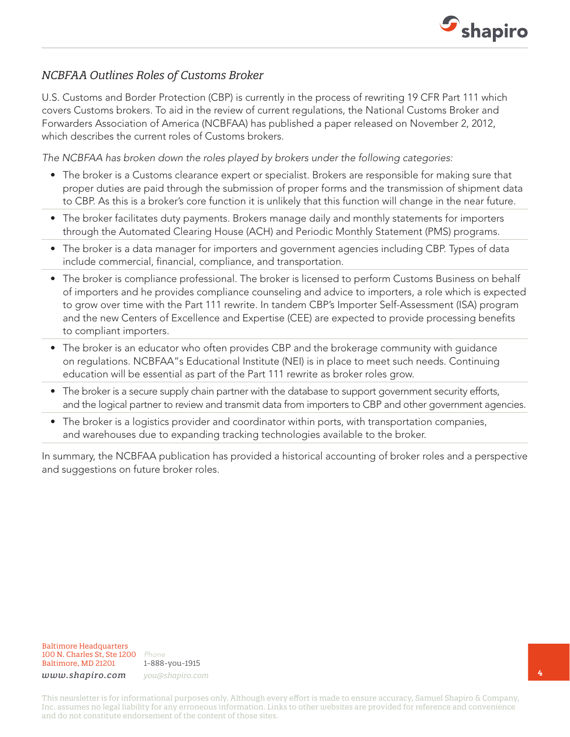

### *NCBFAA Outlines Roles of Customs Broker*

U.S. Customs and Border Protection (CBP) is currently in the process of rewriting 19 CFR Part 111 which covers Customs brokers. To aid in the review of current regulations, the National Customs Broker and Forwarders Association of America (NCBFAA) has published a paper released on November 2, 2012, which describes the current roles of Customs brokers.

*The NCBFAA has broken down the roles played by brokers under the following categories:*

- The broker is a Customs clearance expert or specialist. Brokers are responsible for making sure that proper duties are paid through the submission of proper forms and the transmission of shipment data to CBP. As this is a broker's core function it is unlikely that this function will change in the near future.
- The broker facilitates duty payments. Brokers manage daily and monthly statements for importers through the Automated Clearing House (ACH) and Periodic Monthly Statement (PMS) programs.
- The broker is a data manager for importers and government agencies including CBP. Types of data include commercial, financial, compliance, and transportation.
- The broker is compliance professional. The broker is licensed to perform Customs Business on behalf of importers and he provides compliance counseling and advice to importers, a role which is expected to grow over time with the Part 111 rewrite. In tandem CBP's Importer Self-Assessment (ISA) program and the new Centers of Excellence and Expertise (CEE) are expected to provide processing benefits to compliant importers.
- The broker is an educator who often provides CBP and the brokerage community with guidance on regulations. NCBFAA"s Educational Institute (NEI) is in place to meet such needs. Continuing education will be essential as part of the Part 111 rewrite as broker roles grow.
- The broker is a secure supply chain partner with the database to support government security efforts, and the logical partner to review and transmit data from importers to CBP and other government agencies.
- The broker is a logistics provider and coordinator within ports, with transportation companies, and warehouses due to expanding tracking technologies available to the broker.

In summary, the NCBFAA publication has provided a historical accounting of broker roles and a perspective and suggestions on future broker roles.

1-888-you-1915 *www.shapiro.com you@shapiro.com*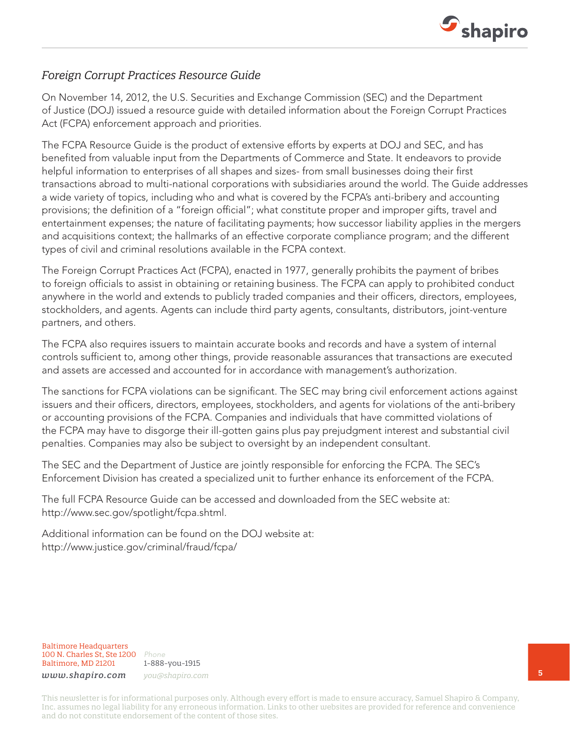

#### *Foreign Corrupt Practices Resource Guide*

On November 14, 2012, the U.S. Securities and Exchange Commission (SEC) and the Department of Justice (DOJ) issued a resource guide with detailed information about the Foreign Corrupt Practices Act (FCPA) enforcement approach and priorities.

The FCPA Resource Guide is the product of extensive efforts by experts at DOJ and SEC, and has benefited from valuable input from the Departments of Commerce and State. It endeavors to provide helpful information to enterprises of all shapes and sizes- from small businesses doing their first transactions abroad to multi-national corporations with subsidiaries around the world. The Guide addresses a wide variety of topics, including who and what is covered by the FCPA's anti-bribery and accounting provisions; the definition of a "foreign official"; what constitute proper and improper gifts, travel and entertainment expenses; the nature of facilitating payments; how successor liability applies in the mergers and acquisitions context; the hallmarks of an effective corporate compliance program; and the different types of civil and criminal resolutions available in the FCPA context.

The Foreign Corrupt Practices Act (FCPA), enacted in 1977, generally prohibits the payment of bribes to foreign officials to assist in obtaining or retaining business. The FCPA can apply to prohibited conduct anywhere in the world and extends to publicly traded companies and their officers, directors, employees, stockholders, and agents. Agents can include third party agents, consultants, distributors, joint-venture partners, and others.

The FCPA also requires issuers to maintain accurate books and records and have a system of internal controls sufficient to, among other things, provide reasonable assurances that transactions are executed and assets are accessed and accounted for in accordance with management's authorization.

The sanctions for FCPA violations can be significant. The SEC may bring civil enforcement actions against issuers and their officers, directors, employees, stockholders, and agents for violations of the anti-bribery or accounting provisions of the FCPA. Companies and individuals that have committed violations of the FCPA may have to disgorge their ill-gotten gains plus pay prejudgment interest and substantial civil penalties. Companies may also be subject to oversight by an independent consultant.

The SEC and the Department of Justice are jointly responsible for enforcing the FCPA. The SEC's Enforcement Division has created a specialized unit to further enhance its enforcement of the FCPA.

The full FCPA Resource Guide can be accessed and downloaded from the SEC website at: http://www.sec.gov/spotlight/fcpa.shtml.

Additional information can be found on the DOJ website at: http://www.justice.gov/criminal/fraud/fcpa/

Baltimore Headquarters 100 N. Charles St, Ste 1200 *Phone* Baltimore, MD 21201

1-888-you-1915 *www.shapiro.com you@shapiro.com*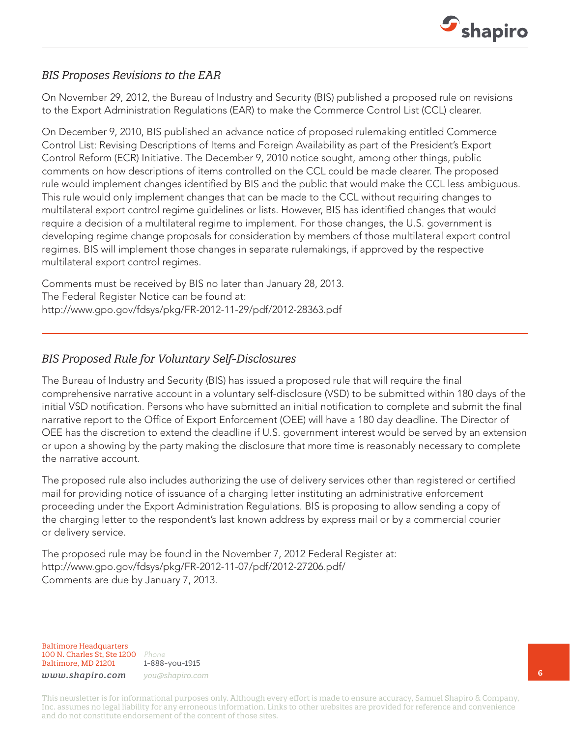

#### *BIS Proposes Revisions to the EAR*

On November 29, 2012, the Bureau of Industry and Security (BIS) published a proposed rule on revisions to the Export Administration Regulations (EAR) to make the Commerce Control List (CCL) clearer.

On December 9, 2010, BIS published an advance notice of proposed rulemaking entitled Commerce Control List: Revising Descriptions of Items and Foreign Availability as part of the President's Export Control Reform (ECR) Initiative. The December 9, 2010 notice sought, among other things, public comments on how descriptions of items controlled on the CCL could be made clearer. The proposed rule would implement changes identified by BIS and the public that would make the CCL less ambiguous. This rule would only implement changes that can be made to the CCL without requiring changes to multilateral export control regime guidelines or lists. However, BIS has identified changes that would require a decision of a multilateral regime to implement. For those changes, the U.S. government is developing regime change proposals for consideration by members of those multilateral export control regimes. BIS will implement those changes in separate rulemakings, if approved by the respective multilateral export control regimes.

Comments must be received by BIS no later than January 28, 2013. The Federal Register Notice can be found at: http://www.gpo.gov/fdsys/pkg/FR-2012-11-29/pdf/2012-28363.pdf

#### *BIS Proposed Rule for Voluntary Self-Disclosures*

The Bureau of Industry and Security (BIS) has issued a proposed rule that will require the final comprehensive narrative account in a voluntary self-disclosure (VSD) to be submitted within 180 days of the initial VSD notification. Persons who have submitted an initial notification to complete and submit the final narrative report to the Office of Export Enforcement (OEE) will have a 180 day deadline. The Director of OEE has the discretion to extend the deadline if U.S. government interest would be served by an extension or upon a showing by the party making the disclosure that more time is reasonably necessary to complete the narrative account.

The proposed rule also includes authorizing the use of delivery services other than registered or certified mail for providing notice of issuance of a charging letter instituting an administrative enforcement proceeding under the Export Administration Regulations. BIS is proposing to allow sending a copy of the charging letter to the respondent's last known address by express mail or by a commercial courier or delivery service.

The proposed rule may be found in the November 7, 2012 Federal Register at: http://www.gpo.gov/fdsys/pkg/FR-2012-11-07/pdf/2012-27206.pdf/ Comments are due by January 7, 2013.

Baltimore Headquarters 100 N. Charles St, Ste 1200 *Phone* Baltimore, MD 21201

1-888-you-1915 *www.shapiro.com you@shapiro.com*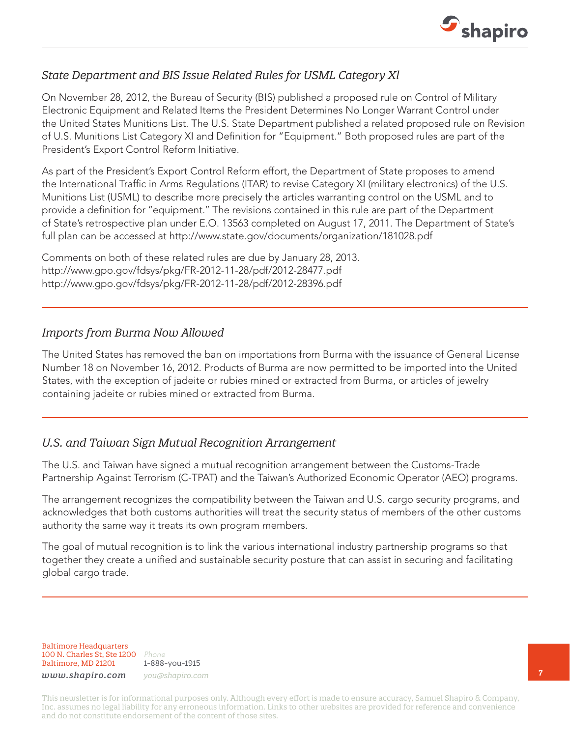

#### *State Department and BIS Issue Related Rules for USML Category Xl*

On November 28, 2012, the Bureau of Security (BIS) published a proposed rule on Control of Military Electronic Equipment and Related Items the President Determines No Longer Warrant Control under the United States Munitions List. The U.S. State Department published a related proposed rule on Revision of U.S. Munitions List Category XI and Definition for "Equipment." Both proposed rules are part of the President's Export Control Reform Initiative.

As part of the President's Export Control Reform effort, the Department of State proposes to amend the International Traffic in Arms Regulations (ITAR) to revise Category XI (military electronics) of the U.S. Munitions List (USML) to describe more precisely the articles warranting control on the USML and to provide a definition for ''equipment.'' The revisions contained in this rule are part of the Department of State's retrospective plan under E.O. 13563 completed on August 17, 2011. The Department of State's full plan can be accessed at http://www.state.gov/documents/organization/181028.pdf

Comments on both of these related rules are due by January 28, 2013. http://www.gpo.gov/fdsys/pkg/FR-2012-11-28/pdf/2012-28477.pdf http://www.gpo.gov/fdsys/pkg/FR-2012-11-28/pdf/2012-28396.pdf

#### *Imports from Burma Now Allowed*

The United States has removed the ban on importations from Burma with the issuance of General License Number 18 on November 16, 2012. Products of Burma are now permitted to be imported into the United States, with the exception of jadeite or rubies mined or extracted from Burma, or articles of jewelry containing jadeite or rubies mined or extracted from Burma.

#### *U.S. and Taiwan Sign Mutual Recognition Arrangement*

The U.S. and Taiwan have signed a mutual recognition arrangement between the Customs-Trade Partnership Against Terrorism (C-TPAT) and the Taiwan's Authorized Economic Operator (AEO) programs.

The arrangement recognizes the compatibility between the Taiwan and U.S. cargo security programs, and acknowledges that both customs authorities will treat the security status of members of the other customs authority the same way it treats its own program members.

The goal of mutual recognition is to link the various international industry partnership programs so that together they create a unified and sustainable security posture that can assist in securing and facilitating global cargo trade.

Baltimore Headquarters 100 N. Charles St, Ste 1200 *Phone* Baltimore, MD 21201

1-888-you-1915 *www.shapiro.com you@shapiro.com*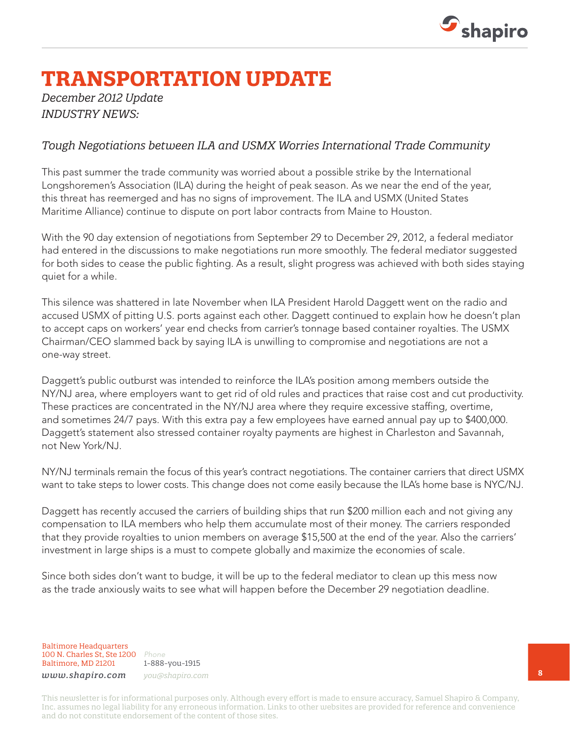

## **TRANSPORTATION UPDATE**

#### *December 2012 Update INDUSTRY NEWS:*

#### *Tough Negotiations between ILA and USMX Worries International Trade Community*

This past summer the trade community was worried about a possible strike by the International Longshoremen's Association (ILA) during the height of peak season. As we near the end of the year, this threat has reemerged and has no signs of improvement. The ILA and USMX (United States Maritime Alliance) continue to dispute on port labor contracts from Maine to Houston.

With the 90 day extension of negotiations from September 29 to December 29, 2012, a federal mediator had entered in the discussions to make negotiations run more smoothly. The federal mediator suggested for both sides to cease the public fighting. As a result, slight progress was achieved with both sides staying quiet for a while.

This silence was shattered in late November when ILA President Harold Daggett went on the radio and accused USMX of pitting U.S. ports against each other. Daggett continued to explain how he doesn't plan to accept caps on workers' year end checks from carrier's tonnage based container royalties. The USMX Chairman/CEO slammed back by saying ILA is unwilling to compromise and negotiations are not a one-way street.

Daggett's public outburst was intended to reinforce the ILA's position among members outside the NY/NJ area, where employers want to get rid of old rules and practices that raise cost and cut productivity. These practices are concentrated in the NY/NJ area where they require excessive staffing, overtime, and sometimes 24/7 pays. With this extra pay a few employees have earned annual pay up to \$400,000. Daggett's statement also stressed container royalty payments are highest in Charleston and Savannah, not New York/NJ.

NY/NJ terminals remain the focus of this year's contract negotiations. The container carriers that direct USMX want to take steps to lower costs. This change does not come easily because the ILA's home base is NYC/NJ.

Daggett has recently accused the carriers of building ships that run \$200 million each and not giving any compensation to ILA members who help them accumulate most of their money. The carriers responded that they provide royalties to union members on average \$15,500 at the end of the year. Also the carriers' investment in large ships is a must to compete globally and maximize the economies of scale.

Since both sides don't want to budge, it will be up to the federal mediator to clean up this mess now as the trade anxiously waits to see what will happen before the December 29 negotiation deadline.

Baltimore Headquarters 100 N. Charles St, Ste 1200 *Phone* Baltimore, MD 21201

1-888-you-1915 *www.shapiro.com you@shapiro.com*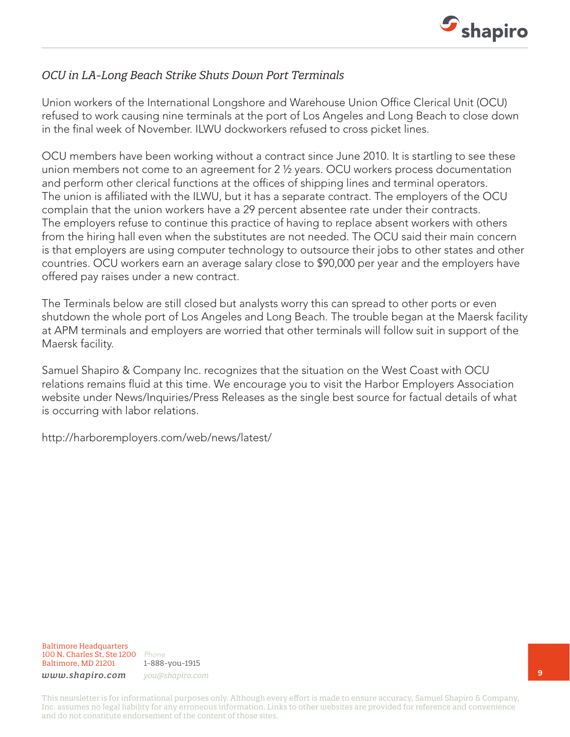

### *OCU in LA-Long Beach Strike Shuts Down Port Terminals*

Union workers of the International Longshore and Warehouse Union Office Clerical Unit (OCU) refused to work causing nine terminals at the port of Los Angeles and Long Beach to close down in the final week of November. ILWU dockworkers refused to cross picket lines.

OCU members have been working without a contract since June 2010. It is startling to see these union members not come to an agreement for 2 ½ years. OCU workers process documentation and perform other clerical functions at the offices of shipping lines and terminal operators. The union is affiliated with the ILWU, but it has a separate contract. The employers of the OCU complain that the union workers have a 29 percent absentee rate under their contracts. The employers refuse to continue this practice of having to replace absent workers with others from the hiring hall even when the substitutes are not needed. The OCU said their main concern is that employers are using computer technology to outsource their jobs to other states and other countries. OCU workers earn an average salary close to \$90,000 per year and the employers have offered pay raises under a new contract.

The Terminals below are still closed but analysts worry this can spread to other ports or even shutdown the whole port of Los Angeles and Long Beach. The trouble began at the Maersk facility at APM terminals and employers are worried that other terminals will follow suit in support of the Maersk facility.

Samuel Shapiro & Company Inc. recognizes that the situation on the West Coast with OCU relations remains fluid at this time. We encourage you to visit the Harbor Employers Association website under News/Inquiries/Press Releases as the single best source for factual details of what is occurring with labor relations.

http://harboremployers.com/web/news/latest/

Baltimore Headquarters 100 N. Charles St, Ste 1200 *Phone* Baltimore, MD 21201

1-888-you-1915 *www.shapiro.com you@shapiro.com*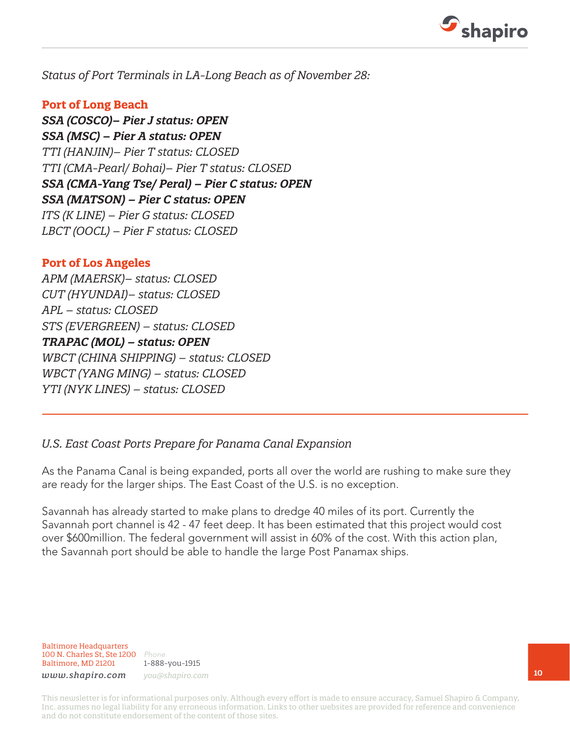

*Status of Port Terminals in LA-Long Beach as of November 28:*

#### **Port of Long Beach**

*SSA (COSCO)– Pier J status: OPEN SSA (MSC) – Pier A status: OPEN TTI (HANJIN)– Pier T status: CLOSED TTI (CMA-Pearl/ Bohai)– Pier T status: CLOSED SSA (CMA-Yang Tse/ Peral) – Pier C status: OPEN SSA (MATSON) – Pier C status: OPEN ITS (K LINE) – Pier G status: CLOSED LBCT (OOCL) – Pier F status: CLOSED* 

#### **Port of Los Angeles**

*APM (MAERSK)– status: CLOSED CUT (HYUNDAI)– status: CLOSED APL – status: CLOSED STS (EVERGREEN) – status: CLOSED TRAPAC (MOL) – status: OPEN WBCT (CHINA SHIPPING) – status: CLOSED WBCT (YANG MING) – status: CLOSED YTI (NYK LINES) – status: CLOSED*

#### *U.S. East Coast Ports Prepare for Panama Canal Expansion*

As the Panama Canal is being expanded, ports all over the world are rushing to make sure they are ready for the larger ships. The East Coast of the U.S. is no exception.

Savannah has already started to make plans to dredge 40 miles of its port. Currently the Savannah port channel is 42 - 47 feet deep. It has been estimated that this project would cost over \$600million. The federal government will assist in 60% of the cost. With this action plan, the Savannah port should be able to handle the large Post Panamax ships.

Baltimore Headquarters 100 N. Charles St, Ste 1200 *Phone* Baltimore, MD 21201

1-888-you-1915 *www.shapiro.com you@shapiro.com*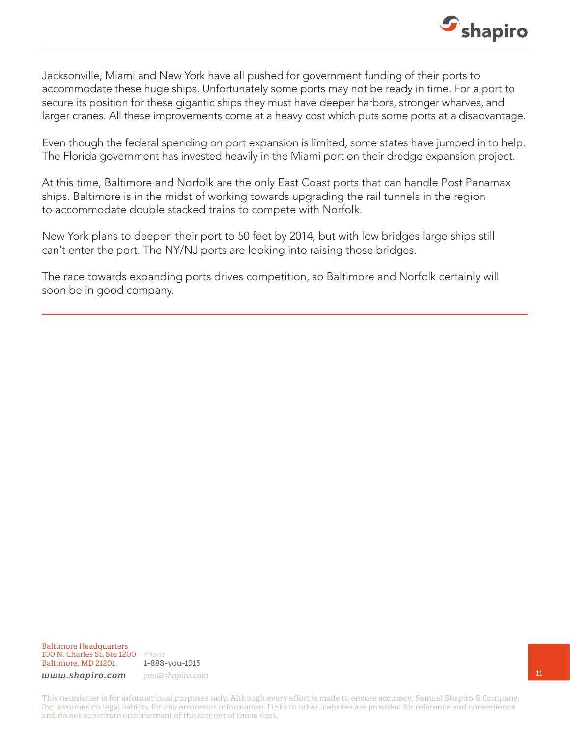

Jacksonville, Miami and New York have all pushed for government funding of their ports to accommodate these huge ships. Unfortunately some ports may not be ready in time. For a port to secure its position for these gigantic ships they must have deeper harbors, stronger wharves, and larger cranes. All these improvements come at a heavy cost which puts some ports at a disadvantage.

Even though the federal spending on port expansion is limited, some states have jumped in to help. The Florida government has invested heavily in the Miami port on their dredge expansion project.

At this time, Baltimore and Norfolk are the only East Coast ports that can handle Post Panamax ships. Baltimore is in the midst of working towards upgrading the rail tunnels in the region to accommodate double stacked trains to compete with Norfolk.

New York plans to deepen their port to 50 feet by 2014, but with low bridges large ships still can't enter the port. The NY/NJ ports are looking into raising those bridges.

The race towards expanding ports drives competition, so Baltimore and Norfolk certainly will soon be in good company.

Baltimore Headquarters 100 N. Charles St, Ste 1200 *Phone* Baltimore, MD 21201

1-888-you-1915

*www.shapiro.com you@shapiro.com*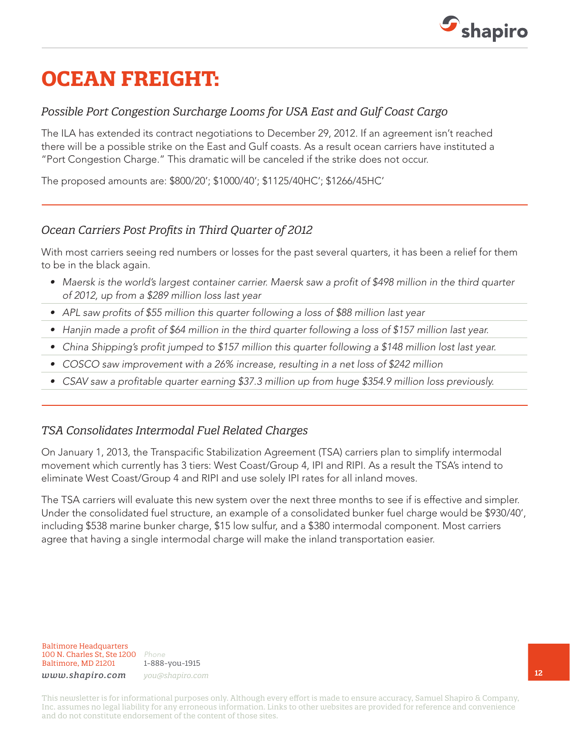

## **OCEAN FREIGHT:**

### *Possible Port Congestion Surcharge Looms for USA East and Gulf Coast Cargo*

The ILA has extended its contract negotiations to December 29, 2012. If an agreement isn't reached there will be a possible strike on the East and Gulf coasts. As a result ocean carriers have instituted a "Port Congestion Charge." This dramatic will be canceled if the strike does not occur.

The proposed amounts are: \$800/20'; \$1000/40'; \$1125/40HC'; \$1266/45HC'

#### *Ocean Carriers Post Profits in Third Quarter of 2012*

With most carriers seeing red numbers or losses for the past several quarters, it has been a relief for them to be in the black again.

- *• Maersk is the world's largest container carrier. Maersk saw a profit of \$498 million in the third quarter of 2012, up from a \$289 million loss last year*
- APL saw profits of \$55 million this quarter following a loss of \$88 million last year
- *• Hanjin made a profit of \$64 million in the third quarter following a loss of \$157 million last year.*
- *• China Shipping's profit jumped to \$157 million this quarter following a \$148 million lost last year.*
- *• COSCO saw improvement with a 26% increase, resulting in a net loss of \$242 million*
- *• CSAV saw a profitable quarter earning \$37.3 million up from huge \$354.9 million loss previously.*

#### *TSA Consolidates Intermodal Fuel Related Charges*

On January 1, 2013, the Transpacific Stabilization Agreement (TSA) carriers plan to simplify intermodal movement which currently has 3 tiers: West Coast/Group 4, IPI and RIPI. As a result the TSA's intend to eliminate West Coast/Group 4 and RIPI and use solely IPI rates for all inland moves.

The TSA carriers will evaluate this new system over the next three months to see if is effective and simpler. Under the consolidated fuel structure, an example of a consolidated bunker fuel charge would be \$930/40', including \$538 marine bunker charge, \$15 low sulfur, and a \$380 intermodal component. Most carriers agree that having a single intermodal charge will make the inland transportation easier.

Baltimore Headquarters 100 N. Charles St, Ste 1200 *Phone* Baltimore, MD 21201

1-888-you-1915 *www.shapiro.com you@shapiro.com*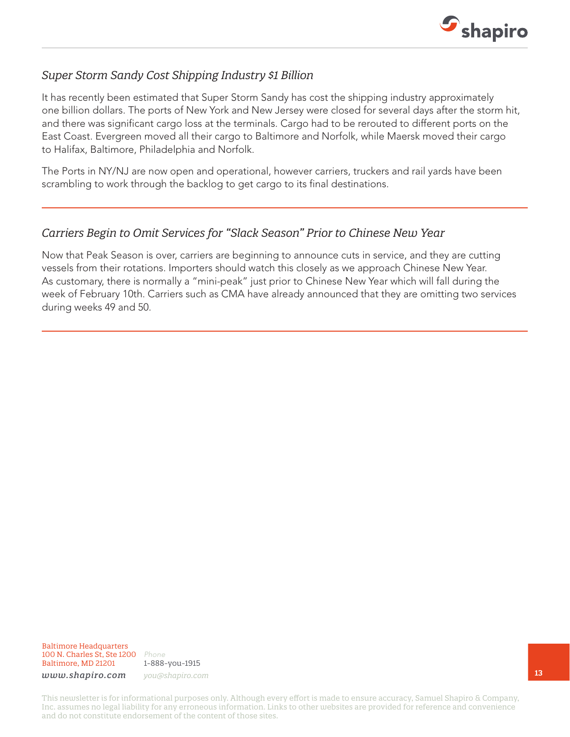

#### *Super Storm Sandy Cost Shipping Industry \$1 Billion*

It has recently been estimated that Super Storm Sandy has cost the shipping industry approximately one billion dollars. The ports of New York and New Jersey were closed for several days after the storm hit, and there was significant cargo loss at the terminals. Cargo had to be rerouted to different ports on the East Coast. Evergreen moved all their cargo to Baltimore and Norfolk, while Maersk moved their cargo to Halifax, Baltimore, Philadelphia and Norfolk.

The Ports in NY/NJ are now open and operational, however carriers, truckers and rail yards have been scrambling to work through the backlog to get cargo to its final destinations.

#### *Carriers Begin to Omit Services for "Slack Season" Prior to Chinese New Year*

Now that Peak Season is over, carriers are beginning to announce cuts in service, and they are cutting vessels from their rotations. Importers should watch this closely as we approach Chinese New Year. As customary, there is normally a "mini-peak" just prior to Chinese New Year which will fall during the week of February 10th. Carriers such as CMA have already announced that they are omitting two services during weeks 49 and 50.

Baltimore Headquarters 100 N. Charles St, Ste 1200 *Phone* Baltimore, MD 21201

1-888-you-1915

*www.shapiro.com you@shapiro.com*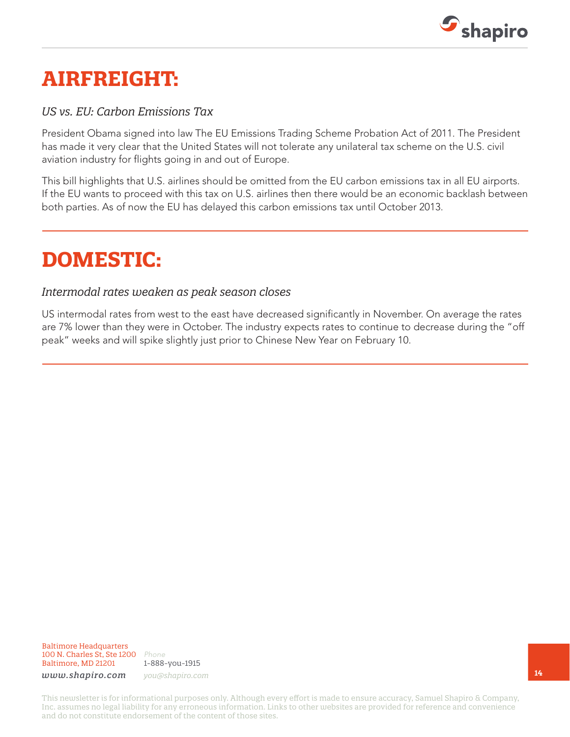

## **AIRFREIGHT:**

#### *US vs. EU: Carbon Emissions Tax*

President Obama signed into law The EU Emissions Trading Scheme Probation Act of 2011. The President has made it very clear that the United States will not tolerate any unilateral tax scheme on the U.S. civil aviation industry for flights going in and out of Europe.

This bill highlights that U.S. airlines should be omitted from the EU carbon emissions tax in all EU airports. If the EU wants to proceed with this tax on U.S. airlines then there would be an economic backlash between both parties. As of now the EU has delayed this carbon emissions tax until October 2013.

## **DOMESTIC:**

#### *Intermodal rates weaken as peak season closes*

US intermodal rates from west to the east have decreased significantly in November. On average the rates are 7% lower than they were in October. The industry expects rates to continue to decrease during the "off peak" weeks and will spike slightly just prior to Chinese New Year on February 10.

Baltimore Headquarters 100 N. Charles St, Ste 1200 *Phone* Baltimore, MD 21201

1-888-you-1915

*www.shapiro.com you@shapiro.com*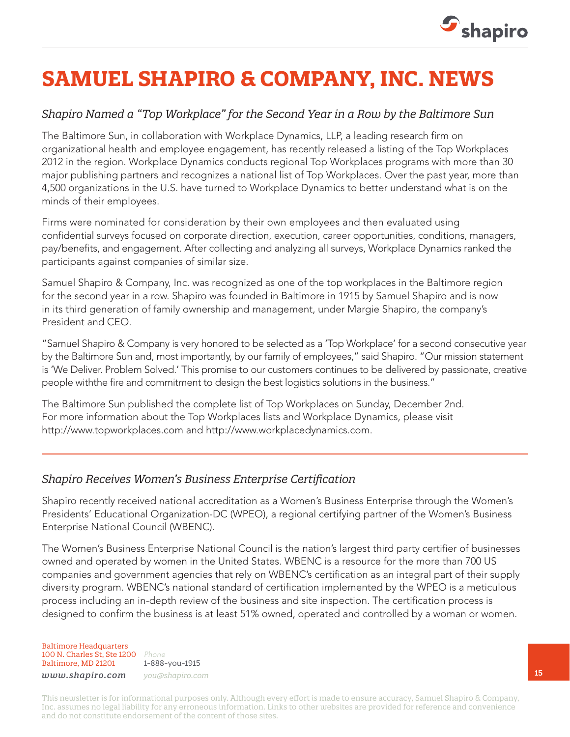

# **SAMUEL SHAPIRO & COMPANY, INC. NEWS**

#### *Shapiro Named a "Top Workplace" for the Second Year in a Row by the Baltimore Sun*

The Baltimore Sun, in collaboration with Workplace Dynamics, LLP, a leading research firm on organizational health and employee engagement, has recently released a listing of the Top Workplaces 2012 in the region. Workplace Dynamics conducts regional Top Workplaces programs with more than 30 major publishing partners and recognizes a national list of Top Workplaces. Over the past year, more than 4,500 organizations in the U.S. have turned to Workplace Dynamics to better understand what is on the minds of their employees.

Firms were nominated for consideration by their own employees and then evaluated using confidential surveys focused on corporate direction, execution, career opportunities, conditions, managers, pay/benefits, and engagement. After collecting and analyzing all surveys, Workplace Dynamics ranked the participants against companies of similar size.

Samuel Shapiro & Company, Inc. was recognized as one of the top workplaces in the Baltimore region for the second year in a row. Shapiro was founded in Baltimore in 1915 by Samuel Shapiro and is now in its third generation of family ownership and management, under Margie Shapiro, the company's President and CEO.

"Samuel Shapiro & Company is very honored to be selected as a 'Top Workplace' for a second consecutive year by the Baltimore Sun and, most importantly, by our family of employees," said Shapiro. "Our mission statement is 'We Deliver. Problem Solved.' This promise to our customers continues to be delivered by passionate, creative people withthe fire and commitment to design the best logistics solutions in the business."

The Baltimore Sun published the complete list of Top Workplaces on Sunday, December 2nd. For more information about the Top Workplaces lists and Workplace Dynamics, please visit http://www.topworkplaces.com and http://www.workplacedynamics.com.

#### *Shapiro Receives Women's Business Enterprise Certification*

Shapiro recently received national accreditation as a Women's Business Enterprise through the Women's Presidents' Educational Organization-DC (WPEO), a regional certifying partner of the Women's Business Enterprise National Council (WBENC).

The Women's Business Enterprise National Council is the nation's largest third party certifier of businesses owned and operated by women in the United States. WBENC is a resource for the more than 700 US companies and government agencies that rely on WBENC's certification as an integral part of their supply diversity program. WBENC's national standard of certification implemented by the WPEO is a meticulous process including an in-depth review of the business and site inspection. The certification process is designed to confirm the business is at least 51% owned, operated and controlled by a woman or women.

Baltimore Headquarters 100 N. Charles St, Ste 1200 *Phone* Baltimore, MD 21201

1-888-you-1915 *www.shapiro.com you@shapiro.com*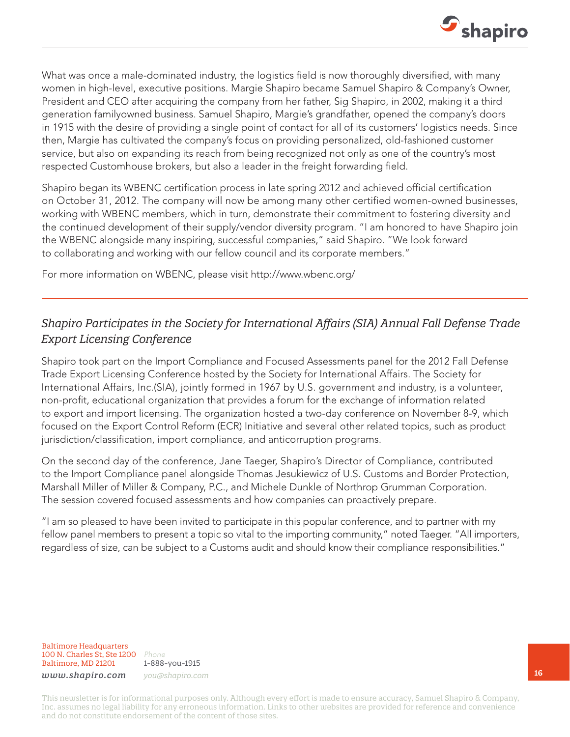

What was once a male-dominated industry, the logistics field is now thoroughly diversified, with many women in high-level, executive positions. Margie Shapiro became Samuel Shapiro & Company's Owner, President and CEO after acquiring the company from her father, Sig Shapiro, in 2002, making it a third generation familyowned business. Samuel Shapiro, Margie's grandfather, opened the company's doors in 1915 with the desire of providing a single point of contact for all of its customers' logistics needs. Since then, Margie has cultivated the company's focus on providing personalized, old-fashioned customer service, but also on expanding its reach from being recognized not only as one of the country's most respected Customhouse brokers, but also a leader in the freight forwarding field.

Shapiro began its WBENC certification process in late spring 2012 and achieved official certification on October 31, 2012. The company will now be among many other certified women-owned businesses, working with WBENC members, which in turn, demonstrate their commitment to fostering diversity and the continued development of their supply/vendor diversity program. "I am honored to have Shapiro join the WBENC alongside many inspiring, successful companies," said Shapiro. "We look forward to collaborating and working with our fellow council and its corporate members."

For more information on WBENC, please visit http://www.wbenc.org/

### *Shapiro Participates in the Society for International Affairs (SIA) Annual Fall Defense Trade Export Licensing Conference*

Shapiro took part on the Import Compliance and Focused Assessments panel for the 2012 Fall Defense Trade Export Licensing Conference hosted by the Society for International Affairs. The Society for International Affairs, Inc.(SIA), jointly formed in 1967 by U.S. government and industry, is a volunteer, non-profit, educational organization that provides a forum for the exchange of information related to export and import licensing. The organization hosted a two-day conference on November 8-9, which focused on the Export Control Reform (ECR) Initiative and several other related topics, such as product jurisdiction/classification, import compliance, and anticorruption programs.

On the second day of the conference, Jane Taeger, Shapiro's Director of Compliance, contributed to the Import Compliance panel alongside Thomas Jesukiewicz of U.S. Customs and Border Protection, Marshall Miller of Miller & Company, P.C., and Michele Dunkle of Northrop Grumman Corporation. The session covered focused assessments and how companies can proactively prepare.

"I am so pleased to have been invited to participate in this popular conference, and to partner with my fellow panel members to present a topic so vital to the importing community," noted Taeger. "All importers, regardless of size, can be subject to a Customs audit and should know their compliance responsibilities."

Baltimore Headquarters 100 N. Charles St, Ste 1200 *Phone* Baltimore, MD 21201

1-888-you-1915 *www.shapiro.com you@shapiro.com*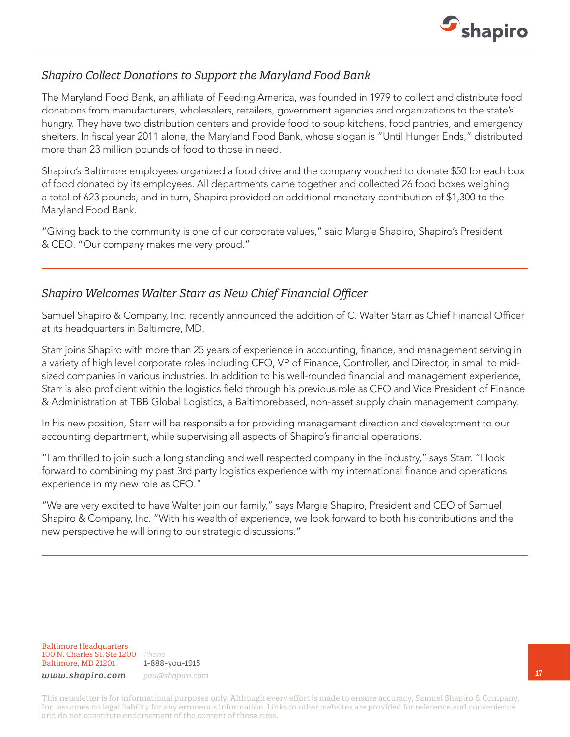

#### *Shapiro Collect Donations to Support the Maryland Food Bank*

The Maryland Food Bank, an affiliate of Feeding America, was founded in 1979 to collect and distribute food donations from manufacturers, wholesalers, retailers, government agencies and organizations to the state's hungry. They have two distribution centers and provide food to soup kitchens, food pantries, and emergency shelters. In fiscal year 2011 alone, the Maryland Food Bank, whose slogan is "Until Hunger Ends," distributed more than 23 million pounds of food to those in need.

Shapiro's Baltimore employees organized a food drive and the company vouched to donate \$50 for each box of food donated by its employees. All departments came together and collected 26 food boxes weighing a total of 623 pounds, and in turn, Shapiro provided an additional monetary contribution of \$1,300 to the Maryland Food Bank.

"Giving back to the community is one of our corporate values," said Margie Shapiro, Shapiro's President & CEO. "Our company makes me very proud."

#### *Shapiro Welcomes Walter Starr as New Chief Financial Officer*

Samuel Shapiro & Company, Inc. recently announced the addition of C. Walter Starr as Chief Financial Officer at its headquarters in Baltimore, MD.

Starr joins Shapiro with more than 25 years of experience in accounting, finance, and management serving in a variety of high level corporate roles including CFO, VP of Finance, Controller, and Director, in small to midsized companies in various industries. In addition to his well-rounded financial and management experience, Starr is also proficient within the logistics field through his previous role as CFO and Vice President of Finance & Administration at TBB Global Logistics, a Baltimorebased, non-asset supply chain management company.

In his new position, Starr will be responsible for providing management direction and development to our accounting department, while supervising all aspects of Shapiro's financial operations.

"I am thrilled to join such a long standing and well respected company in the industry," says Starr. "I look forward to combining my past 3rd party logistics experience with my international finance and operations experience in my new role as CFO."

"We are very excited to have Walter join our family," says Margie Shapiro, President and CEO of Samuel Shapiro & Company, Inc. "With his wealth of experience, we look forward to both his contributions and the new perspective he will bring to our strategic discussions."

Baltimore Headquarters 100 N. Charles St, Ste 1200 *Phone* Baltimore, MD 21201

1-888-you-1915 *www.shapiro.com you@shapiro.com*